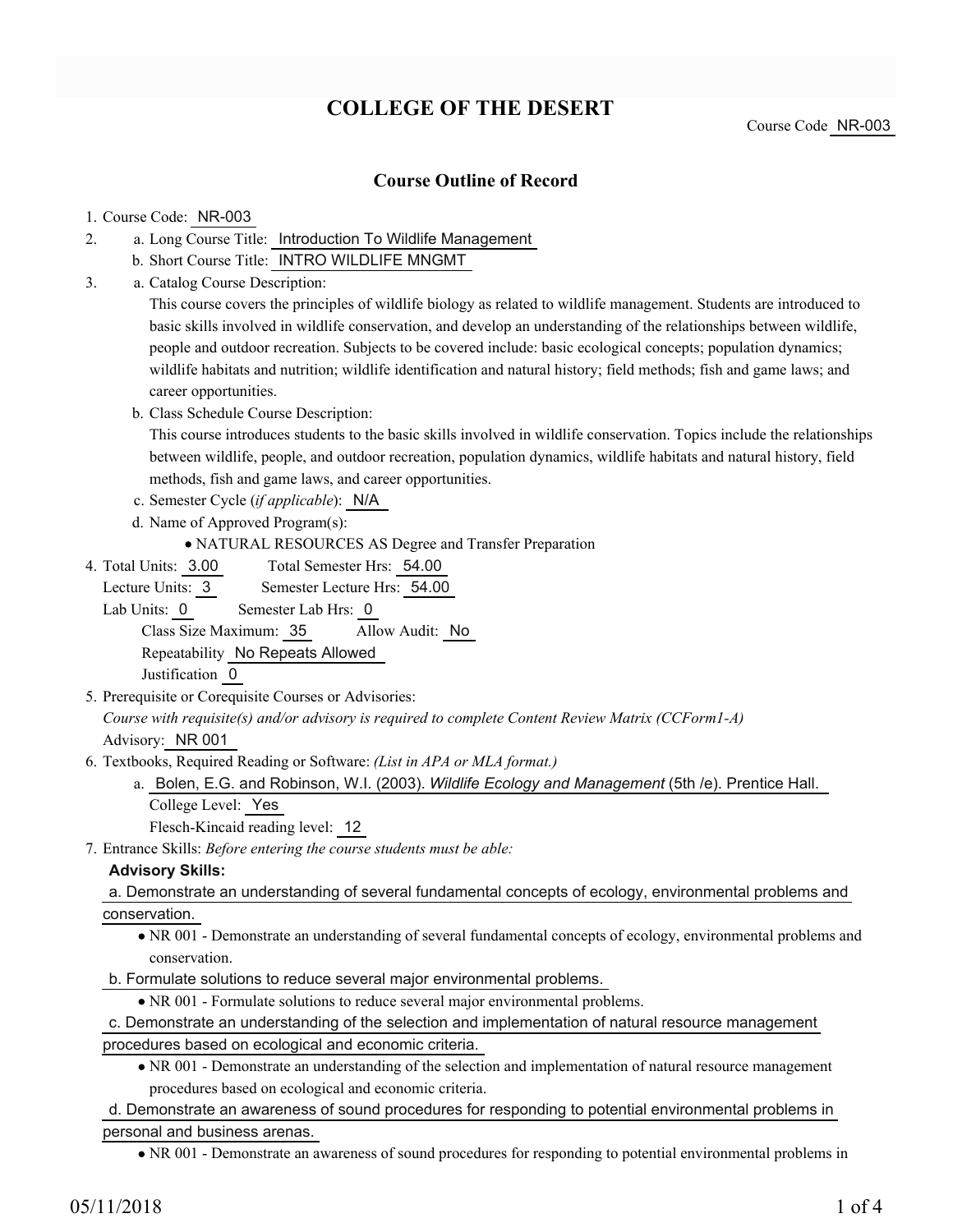# **COLLEGE OF THE DESERT**

## **Course Outline of Record**

#### 1. Course Code: NR-003

- a. Long Course Title: Introduction To Wildlife Management 2.
	- b. Short Course Title: INTRO WILDLIFE MNGMT
- Catalog Course Description: a. 3.

This course covers the principles of wildlife biology as related to wildlife management. Students are introduced to basic skills involved in wildlife conservation, and develop an understanding of the relationships between wildlife, people and outdoor recreation. Subjects to be covered include: basic ecological concepts; population dynamics; wildlife habitats and nutrition; wildlife identification and natural history; field methods; fish and game laws; and career opportunities.

b. Class Schedule Course Description:

This course introduces students to the basic skills involved in wildlife conservation. Topics include the relationships between wildlife, people, and outdoor recreation, population dynamics, wildlife habitats and natural history, field methods, fish and game laws, and career opportunities.

- c. Semester Cycle (*if applicable*): N/A
- d. Name of Approved Program(s):
	- NATURAL RESOURCES AS Degree and Transfer Preparation
- Total Semester Hrs: 54.00 4. Total Units: 3.00

Lecture Units: 3 Semester Lecture Hrs: 54.00

Lab Units: 0 Semester Lab Hrs: 0

Class Size Maximum: 35 Allow Audit: No Repeatability No Repeats Allowed

Justification 0

5. Prerequisite or Corequisite Courses or Advisories:

*Course with requisite(s) and/or advisory is required to complete Content Review Matrix (CCForm1-A)* Advisory: NR 001

- Textbooks, Required Reading or Software: *(List in APA or MLA format.)* 6.
	- a. Bolen, E.G. and Robinson, W.I. (2003). *Wildlife Ecology and Management* (5th /e). Prentice Hall. College Level: Yes

Flesch-Kincaid reading level: 12

Entrance Skills: *Before entering the course students must be able:* 7.

#### **Advisory Skills:**

a. Demonstrate an understanding of several fundamental concepts of ecology, environmental problems and conservation.

NR 001 - Demonstrate an understanding of several fundamental concepts of ecology, environmental problems and conservation.

b. Formulate solutions to reduce several major environmental problems.

NR 001 - Formulate solutions to reduce several major environmental problems.

c. Demonstrate an understanding of the selection and implementation of natural resource management procedures based on ecological and economic criteria.

NR 001 - Demonstrate an understanding of the selection and implementation of natural resource management procedures based on ecological and economic criteria.

### d. Demonstrate an awareness of sound procedures for responding to potential environmental problems in personal and business arenas.

NR 001 - Demonstrate an awareness of sound procedures for responding to potential environmental problems in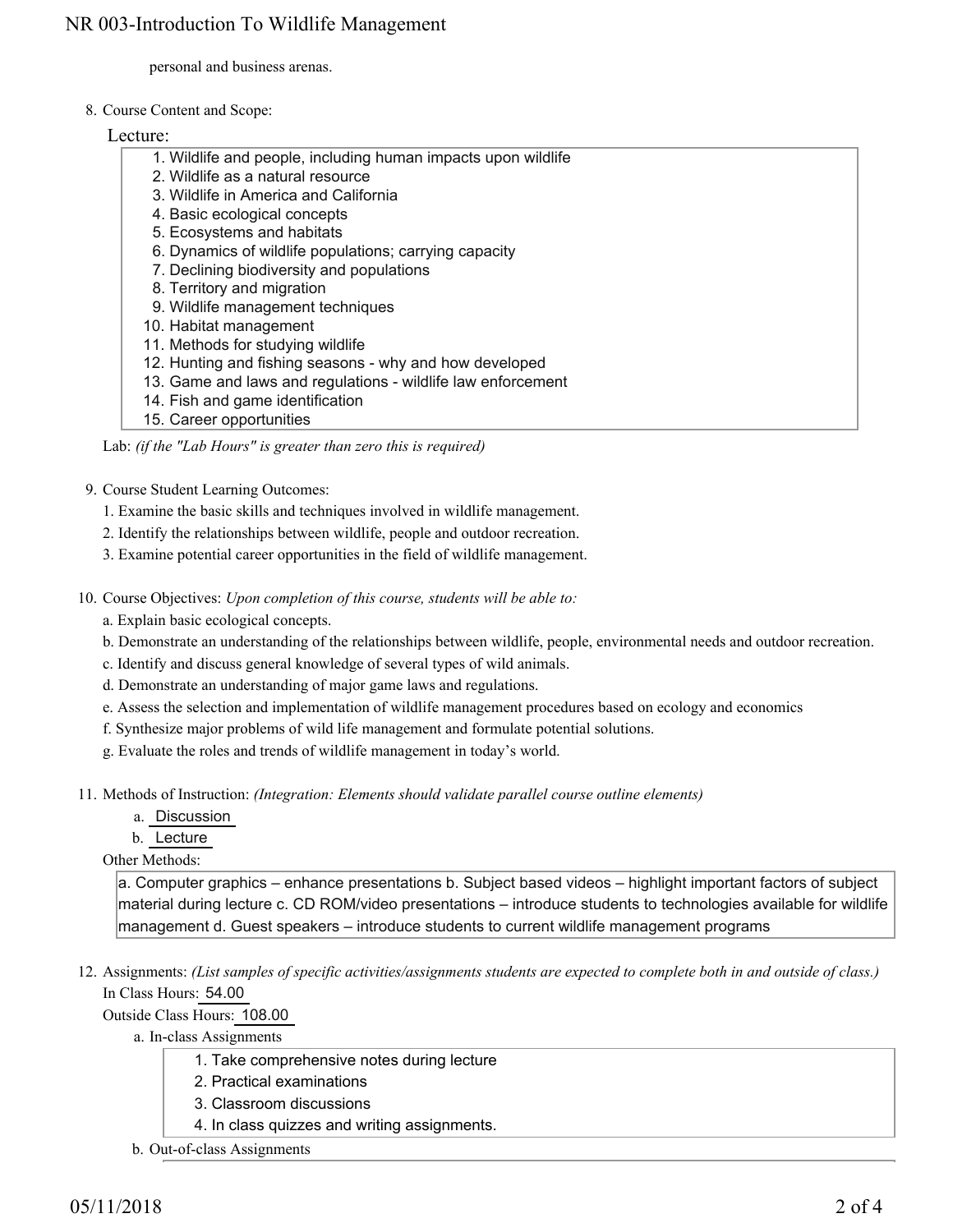personal and business arenas.

8. Course Content and Scope:

Lecture:

- 1. Wildlife and people, including human impacts upon wildlife
- 2. Wildlife as a natural resource
- 3. Wildlife in America and California
- 4. Basic ecological concepts
- 5. Ecosystems and habitats
- 6. Dynamics of wildlife populations; carrying capacity
- 7. Declining biodiversity and populations
- 8. Territory and migration
- 9. Wildlife management techniques
- 10. Habitat management
- 11. Methods for studying wildlife
- 12. Hunting and fishing seasons why and how developed
- 13. Game and laws and regulations wildlife law enforcement
- 14. Fish and game identification
- 15. Career opportunities

Lab: *(if the "Lab Hours" is greater than zero this is required)*

9. Course Student Learning Outcomes:

- 1. Examine the basic skills and techniques involved in wildlife management.
- 2. Identify the relationships between wildlife, people and outdoor recreation.
- 3. Examine potential career opportunities in the field of wildlife management.
- 10. Course Objectives: Upon completion of this course, students will be able to:
	- a. Explain basic ecological concepts.
	- b. Demonstrate an understanding of the relationships between wildlife, people, environmental needs and outdoor recreation.
	- c. Identify and discuss general knowledge of several types of wild animals.
	- d. Demonstrate an understanding of major game laws and regulations.
	- e. Assess the selection and implementation of wildlife management procedures based on ecology and economics
	- f. Synthesize major problems of wild life management and formulate potential solutions.
	- g. Evaluate the roles and trends of wildlife management in today's world.
- 11. Methods of Instruction: *(Integration: Elements should validate parallel course outline elements)* 
	- a. Discussion
	- b. Lecture

Other Methods:

a. Computer graphics – enhance presentations b. Subject based videos – highlight important factors of subject material during lecture c. CD ROM/video presentations – introduce students to technologies available for wildlife management d. Guest speakers – introduce students to current wildlife management programs

12. Assignments: (List samples of specific activities/assignments students are expected to complete both in and outside of class.) In Class Hours: 54.00

Outside Class Hours: 108.00

a. In-class Assignments

- 1. Take comprehensive notes during lecture
- 2. Practical examinations
- 3. Classroom discussions
- 4. In class quizzes and writing assignments.
- b. Out-of-class Assignments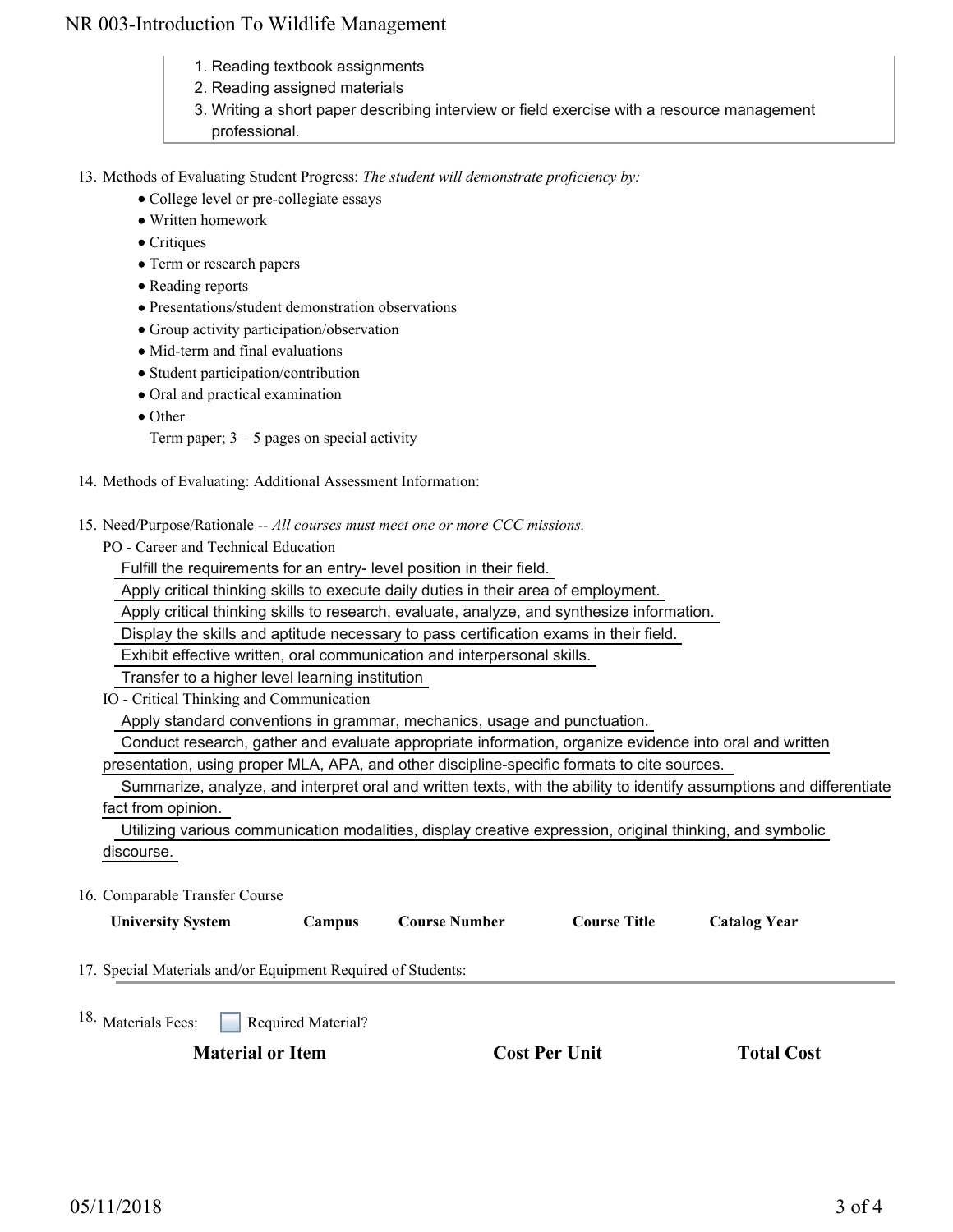## NR 003-Introduction To Wildlife Management

- 1. Reading textbook assignments
- 2. Reading assigned materials
- 3. Writing a short paper describing interview or field exercise with a resource management professional.

13. Methods of Evaluating Student Progress: The student will demonstrate proficiency by:

- College level or pre-collegiate essays
- Written homework
- Critiques
- Term or research papers
- Reading reports
- Presentations/student demonstration observations
- Group activity participation/observation
- Mid-term and final evaluations
- Student participation/contribution
- Oral and practical examination
- Other

Term paper;  $3 - 5$  pages on special activity

- 14. Methods of Evaluating: Additional Assessment Information:
- 15. Need/Purpose/Rationale -- All courses must meet one or more CCC missions.

PO - Career and Technical Education

Fulfill the requirements for an entry- level position in their field.

Apply critical thinking skills to execute daily duties in their area of employment.

Apply critical thinking skills to research, evaluate, analyze, and synthesize information.

Display the skills and aptitude necessary to pass certification exams in their field.

Exhibit effective written, oral communication and interpersonal skills.

Transfer to a higher level learning institution

IO - Critical Thinking and Communication

Apply standard conventions in grammar, mechanics, usage and punctuation.

Conduct research, gather and evaluate appropriate information, organize evidence into oral and written

presentation, using proper MLA, APA, and other discipline-specific formats to cite sources.

 Summarize, analyze, and interpret oral and written texts, with the ability to identify assumptions and differentiate fact from opinion.

 Utilizing various communication modalities, display creative expression, original thinking, and symbolic discourse.

16. Comparable Transfer Course

| <b>University System</b>                                     | Campus             | <b>Course Number</b> | <b>Course Title</b> | <b>Catalog Year</b> |  |
|--------------------------------------------------------------|--------------------|----------------------|---------------------|---------------------|--|
| 17. Special Materials and/or Equipment Required of Students: |                    |                      |                     |                     |  |
| 18. Materials Fees:                                          | Required Material? |                      |                     |                     |  |

**Material or Item Cost Per Unit Total Cost Cost Per Unit Total Cost**